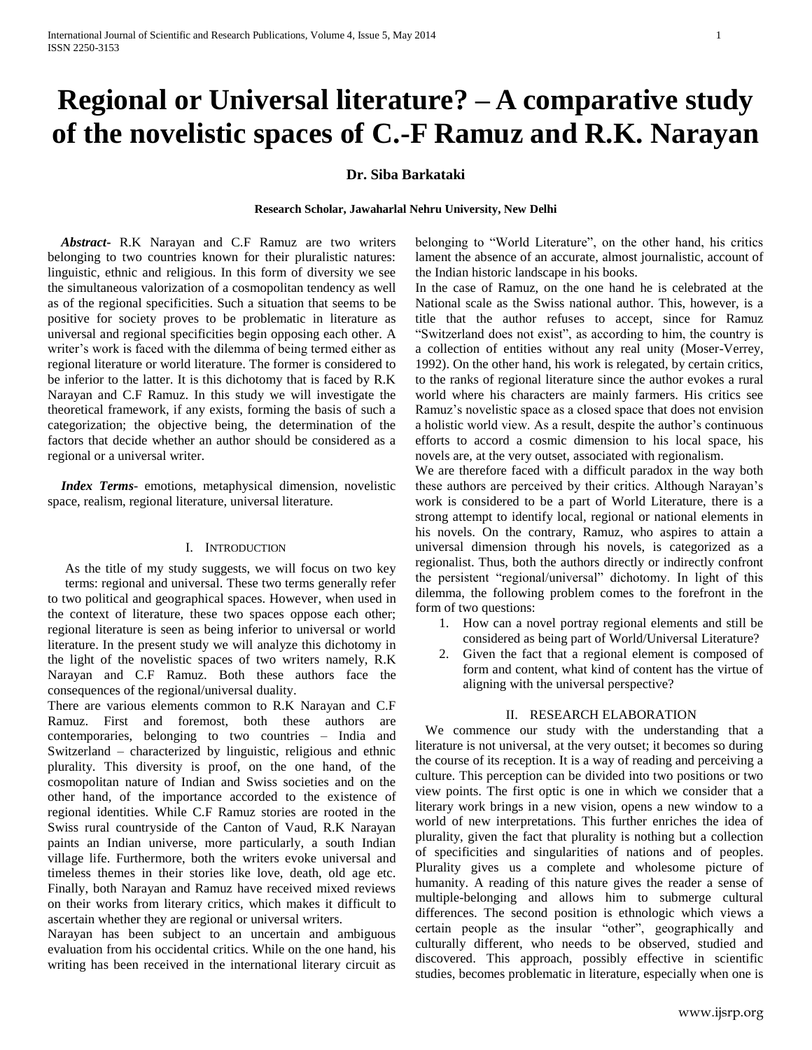# **Regional or Universal literature? – A comparative study of the novelistic spaces of C.-F Ramuz and R.K. Narayan**

## **Dr. Siba Barkataki**

#### **Research Scholar, Jawaharlal Nehru University, New Delhi**

 *Abstract***-** R.K Narayan and C.F Ramuz are two writers belonging to two countries known for their pluralistic natures: linguistic, ethnic and religious. In this form of diversity we see the simultaneous valorization of a cosmopolitan tendency as well as of the regional specificities. Such a situation that seems to be positive for society proves to be problematic in literature as universal and regional specificities begin opposing each other. A writer's work is faced with the dilemma of being termed either as regional literature or world literature. The former is considered to be inferior to the latter. It is this dichotomy that is faced by R.K Narayan and C.F Ramuz. In this study we will investigate the theoretical framework, if any exists, forming the basis of such a categorization; the objective being, the determination of the factors that decide whether an author should be considered as a regional or a universal writer.

 *Index Terms*- emotions, metaphysical dimension, novelistic space, realism, regional literature, universal literature.

## I. INTRODUCTION

As the title of my study suggests, we will focus on two key terms: regional and universal. These two terms generally refer to two political and geographical spaces. However, when used in the context of literature, these two spaces oppose each other; regional literature is seen as being inferior to universal or world literature. In the present study we will analyze this dichotomy in the light of the novelistic spaces of two writers namely, R.K Narayan and C.F Ramuz. Both these authors face the consequences of the regional/universal duality.

There are various elements common to R.K Narayan and C.F Ramuz. First and foremost, both these authors are contemporaries, belonging to two countries – India and Switzerland – characterized by linguistic, religious and ethnic plurality. This diversity is proof, on the one hand, of the cosmopolitan nature of Indian and Swiss societies and on the other hand, of the importance accorded to the existence of regional identities. While C.F Ramuz stories are rooted in the Swiss rural countryside of the Canton of Vaud, R.K Narayan paints an Indian universe, more particularly, a south Indian village life. Furthermore, both the writers evoke universal and timeless themes in their stories like love, death, old age etc. Finally, both Narayan and Ramuz have received mixed reviews on their works from literary critics, which makes it difficult to ascertain whether they are regional or universal writers.

Narayan has been subject to an uncertain and ambiguous evaluation from his occidental critics. While on the one hand, his writing has been received in the international literary circuit as belonging to "World Literature", on the other hand, his critics lament the absence of an accurate, almost journalistic, account of the Indian historic landscape in his books.

In the case of Ramuz, on the one hand he is celebrated at the National scale as the Swiss national author. This, however, is a title that the author refuses to accept, since for Ramuz "Switzerland does not exist", as according to him, the country is a collection of entities without any real unity (Moser-Verrey, 1992). On the other hand, his work is relegated, by certain critics, to the ranks of regional literature since the author evokes a rural world where his characters are mainly farmers. His critics see Ramuz's novelistic space as a closed space that does not envision a holistic world view. As a result, despite the author's continuous efforts to accord a cosmic dimension to his local space, his novels are, at the very outset, associated with regionalism.

We are therefore faced with a difficult paradox in the way both these authors are perceived by their critics. Although Narayan's work is considered to be a part of World Literature, there is a strong attempt to identify local, regional or national elements in his novels. On the contrary, Ramuz, who aspires to attain a universal dimension through his novels, is categorized as a regionalist. Thus, both the authors directly or indirectly confront the persistent "regional/universal" dichotomy. In light of this dilemma, the following problem comes to the forefront in the form of two questions:

- 1. How can a novel portray regional elements and still be considered as being part of World/Universal Literature?
- 2. Given the fact that a regional element is composed of form and content, what kind of content has the virtue of aligning with the universal perspective?

## II. RESEARCH ELABORATION

 We commence our study with the understanding that a literature is not universal, at the very outset; it becomes so during the course of its reception. It is a way of reading and perceiving a culture. This perception can be divided into two positions or two view points. The first optic is one in which we consider that a literary work brings in a new vision, opens a new window to a world of new interpretations. This further enriches the idea of plurality, given the fact that plurality is nothing but a collection of specificities and singularities of nations and of peoples. Plurality gives us a complete and wholesome picture of humanity. A reading of this nature gives the reader a sense of multiple-belonging and allows him to submerge cultural differences. The second position is ethnologic which views a certain people as the insular "other", geographically and culturally different, who needs to be observed, studied and discovered. This approach, possibly effective in scientific studies, becomes problematic in literature, especially when one is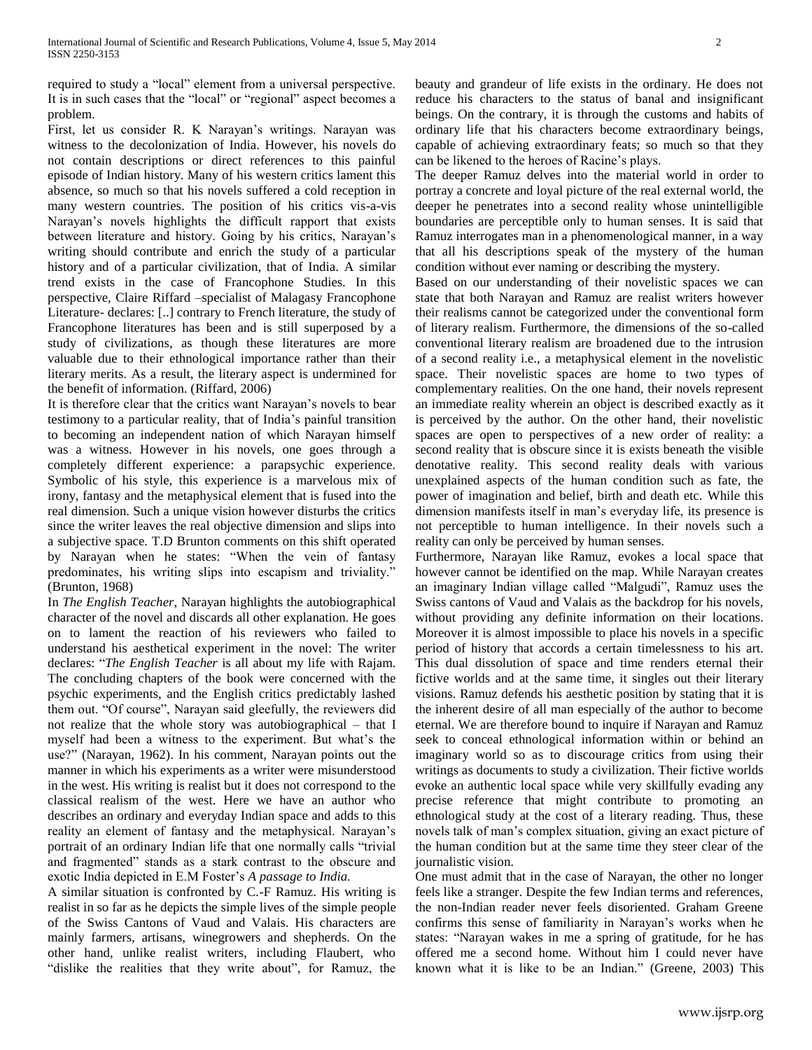required to study a "local" element from a universal perspective. It is in such cases that the "local" or "regional" aspect becomes a problem.

First, let us consider R. K Narayan's writings. Narayan was witness to the decolonization of India. However, his novels do not contain descriptions or direct references to this painful episode of Indian history. Many of his western critics lament this absence, so much so that his novels suffered a cold reception in many western countries. The position of his critics vis-a-vis Narayan's novels highlights the difficult rapport that exists between literature and history. Going by his critics, Narayan's writing should contribute and enrich the study of a particular history and of a particular civilization, that of India. A similar trend exists in the case of Francophone Studies. In this perspective, Claire Riffard –specialist of Malagasy Francophone Literature- declares: [..] contrary to French literature, the study of Francophone literatures has been and is still superposed by a study of civilizations, as though these literatures are more valuable due to their ethnological importance rather than their literary merits. As a result, the literary aspect is undermined for the benefit of information. (Riffard, 2006)

It is therefore clear that the critics want Narayan's novels to bear testimony to a particular reality, that of India's painful transition to becoming an independent nation of which Narayan himself was a witness. However in his novels, one goes through a completely different experience: a parapsychic experience. Symbolic of his style, this experience is a marvelous mix of irony, fantasy and the metaphysical element that is fused into the real dimension. Such a unique vision however disturbs the critics since the writer leaves the real objective dimension and slips into a subjective space. T.D Brunton comments on this shift operated by Narayan when he states: "When the vein of fantasy predominates, his writing slips into escapism and triviality." (Brunton, 1968)

In *The English Teacher*, Narayan highlights the autobiographical character of the novel and discards all other explanation. He goes on to lament the reaction of his reviewers who failed to understand his aesthetical experiment in the novel: The writer declares: "*The English Teacher* is all about my life with Rajam. The concluding chapters of the book were concerned with the psychic experiments, and the English critics predictably lashed them out. "Of course", Narayan said gleefully, the reviewers did not realize that the whole story was autobiographical – that I myself had been a witness to the experiment. But what's the use?" (Narayan, 1962). In his comment, Narayan points out the manner in which his experiments as a writer were misunderstood in the west. His writing is realist but it does not correspond to the classical realism of the west. Here we have an author who describes an ordinary and everyday Indian space and adds to this reality an element of fantasy and the metaphysical. Narayan's portrait of an ordinary Indian life that one normally calls "trivial and fragmented" stands as a stark contrast to the obscure and exotic India depicted in E.M Foster's *A passage to India.*

A similar situation is confronted by C.-F Ramuz. His writing is realist in so far as he depicts the simple lives of the simple people of the Swiss Cantons of Vaud and Valais. His characters are mainly farmers, artisans, winegrowers and shepherds. On the other hand, unlike realist writers, including Flaubert, who "dislike the realities that they write about", for Ramuz, the beauty and grandeur of life exists in the ordinary. He does not reduce his characters to the status of banal and insignificant beings. On the contrary, it is through the customs and habits of ordinary life that his characters become extraordinary beings, capable of achieving extraordinary feats; so much so that they can be likened to the heroes of Racine's plays.

The deeper Ramuz delves into the material world in order to portray a concrete and loyal picture of the real external world, the deeper he penetrates into a second reality whose unintelligible boundaries are perceptible only to human senses. It is said that Ramuz interrogates man in a phenomenological manner, in a way that all his descriptions speak of the mystery of the human condition without ever naming or describing the mystery.

Based on our understanding of their novelistic spaces we can state that both Narayan and Ramuz are realist writers however their realisms cannot be categorized under the conventional form of literary realism. Furthermore, the dimensions of the so-called conventional literary realism are broadened due to the intrusion of a second reality i.e., a metaphysical element in the novelistic space. Their novelistic spaces are home to two types of complementary realities. On the one hand, their novels represent an immediate reality wherein an object is described exactly as it is perceived by the author. On the other hand, their novelistic spaces are open to perspectives of a new order of reality: a second reality that is obscure since it is exists beneath the visible denotative reality. This second reality deals with various unexplained aspects of the human condition such as fate, the power of imagination and belief, birth and death etc. While this dimension manifests itself in man's everyday life, its presence is not perceptible to human intelligence. In their novels such a reality can only be perceived by human senses.

Furthermore, Narayan like Ramuz, evokes a local space that however cannot be identified on the map. While Narayan creates an imaginary Indian village called "Malgudi", Ramuz uses the Swiss cantons of Vaud and Valais as the backdrop for his novels, without providing any definite information on their locations. Moreover it is almost impossible to place his novels in a specific period of history that accords a certain timelessness to his art. This dual dissolution of space and time renders eternal their fictive worlds and at the same time, it singles out their literary visions. Ramuz defends his aesthetic position by stating that it is the inherent desire of all man especially of the author to become eternal. We are therefore bound to inquire if Narayan and Ramuz seek to conceal ethnological information within or behind an imaginary world so as to discourage critics from using their writings as documents to study a civilization. Their fictive worlds evoke an authentic local space while very skillfully evading any precise reference that might contribute to promoting an ethnological study at the cost of a literary reading. Thus, these novels talk of man's complex situation, giving an exact picture of the human condition but at the same time they steer clear of the journalistic vision.

One must admit that in the case of Narayan, the other no longer feels like a stranger. Despite the few Indian terms and references, the non-Indian reader never feels disoriented. Graham Greene confirms this sense of familiarity in Narayan's works when he states: "Narayan wakes in me a spring of gratitude, for he has offered me a second home. Without him I could never have known what it is like to be an Indian." (Greene, 2003) This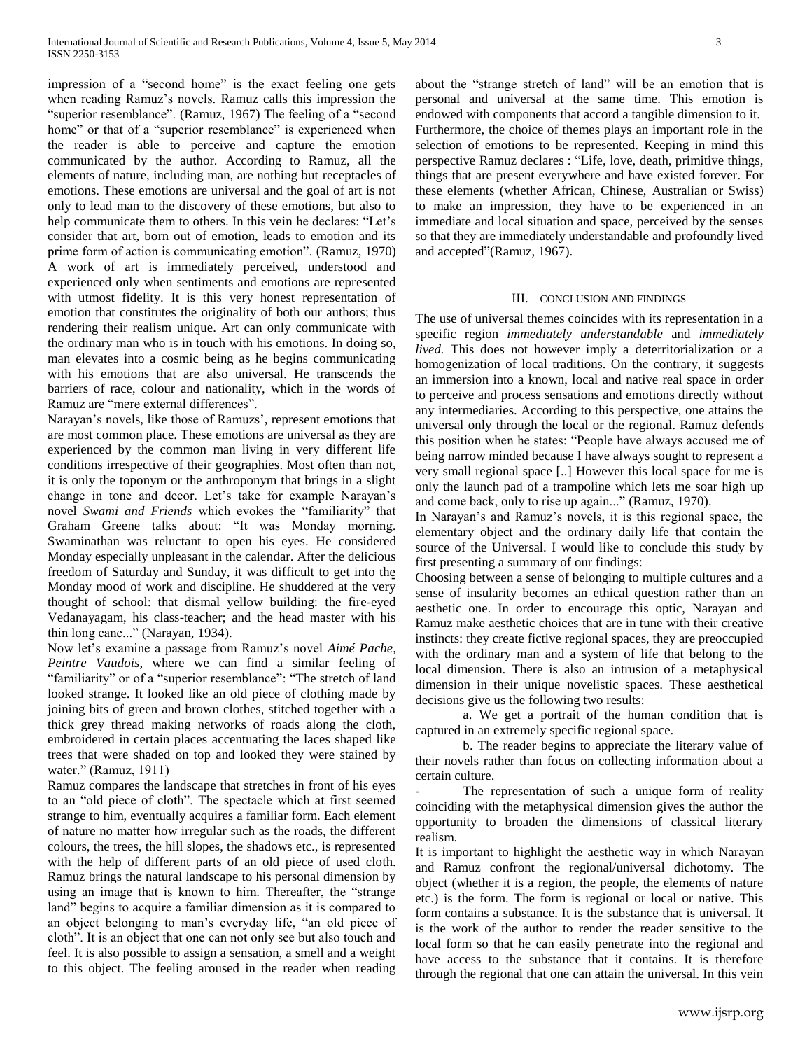impression of a "second home" is the exact feeling one gets when reading Ramuz's novels. Ramuz calls this impression the "superior resemblance". (Ramuz, 1967) The feeling of a "second home" or that of a "superior resemblance" is experienced when the reader is able to perceive and capture the emotion communicated by the author. According to Ramuz, all the elements of nature, including man, are nothing but receptacles of emotions. These emotions are universal and the goal of art is not only to lead man to the discovery of these emotions, but also to help communicate them to others. In this vein he declares: "Let's consider that art, born out of emotion, leads to emotion and its prime form of action is communicating emotion". (Ramuz, 1970) A work of art is immediately perceived, understood and experienced only when sentiments and emotions are represented with utmost fidelity. It is this very honest representation of emotion that constitutes the originality of both our authors; thus rendering their realism unique. Art can only communicate with the ordinary man who is in touch with his emotions. In doing so, man elevates into a cosmic being as he begins communicating with his emotions that are also universal. He transcends the barriers of race, colour and nationality, which in the words of Ramuz are "mere external differences".

Narayan's novels, like those of Ramuzs', represent emotions that are most common place. These emotions are universal as they are experienced by the common man living in very different life conditions irrespective of their geographies. Most often than not, it is only the toponym or the anthroponym that brings in a slight change in tone and decor. Let's take for example Narayan's novel *Swami and Friends* which evokes the "familiarity" that Graham Greene talks about: "It was Monday morning. Swaminathan was reluctant to open his eyes. He considered Monday especially unpleasant in the calendar. After the delicious freedom of Saturday and Sunday, it was difficult to get into the Monday mood of work and discipline. He shuddered at the very thought of school: that dismal yellow building: the fire-eyed Vedanayagam, his class-teacher; and the head master with his thin long cane..." (Narayan, 1934).

Now let's examine a passage from Ramuz's novel *Aimé Pache, Peintre Vaudois*, where we can find a similar feeling of "familiarity" or of a "superior resemblance": "The stretch of land looked strange. It looked like an old piece of clothing made by joining bits of green and brown clothes, stitched together with a thick grey thread making networks of roads along the cloth, embroidered in certain places accentuating the laces shaped like trees that were shaded on top and looked they were stained by water." (Ramuz, 1911)

Ramuz compares the landscape that stretches in front of his eyes to an "old piece of cloth". The spectacle which at first seemed strange to him, eventually acquires a familiar form. Each element of nature no matter how irregular such as the roads, the different colours, the trees, the hill slopes, the shadows etc., is represented with the help of different parts of an old piece of used cloth. Ramuz brings the natural landscape to his personal dimension by using an image that is known to him. Thereafter, the "strange land" begins to acquire a familiar dimension as it is compared to an object belonging to man's everyday life, "an old piece of cloth". It is an object that one can not only see but also touch and feel. It is also possible to assign a sensation, a smell and a weight to this object. The feeling aroused in the reader when reading about the "strange stretch of land" will be an emotion that is personal and universal at the same time. This emotion is endowed with components that accord a tangible dimension to it. Furthermore, the choice of themes plays an important role in the selection of emotions to be represented. Keeping in mind this perspective Ramuz declares : "Life, love, death, primitive things, things that are present everywhere and have existed forever. For these elements (whether African, Chinese, Australian or Swiss) to make an impression, they have to be experienced in an immediate and local situation and space, perceived by the senses so that they are immediately understandable and profoundly lived and accepted"(Ramuz, 1967).

#### III. CONCLUSION AND FINDINGS

The use of universal themes coincides with its representation in a specific region *immediately understandable* and *immediately lived.* This does not however imply a deterritorialization or a homogenization of local traditions. On the contrary, it suggests an immersion into a known, local and native real space in order to perceive and process sensations and emotions directly without any intermediaries. According to this perspective, one attains the universal only through the local or the regional. Ramuz defends this position when he states: "People have always accused me of being narrow minded because I have always sought to represent a very small regional space [..] However this local space for me is only the launch pad of a trampoline which lets me soar high up and come back, only to rise up again..." (Ramuz, 1970).

In Narayan's and Ramuz's novels, it is this regional space, the elementary object and the ordinary daily life that contain the source of the Universal. I would like to conclude this study by first presenting a summary of our findings:

Choosing between a sense of belonging to multiple cultures and a sense of insularity becomes an ethical question rather than an aesthetic one. In order to encourage this optic, Narayan and Ramuz make aesthetic choices that are in tune with their creative instincts: they create fictive regional spaces, they are preoccupied with the ordinary man and a system of life that belong to the local dimension. There is also an intrusion of a metaphysical dimension in their unique novelistic spaces. These aesthetical decisions give us the following two results:

a. We get a portrait of the human condition that is captured in an extremely specific regional space.

b. The reader begins to appreciate the literary value of their novels rather than focus on collecting information about a certain culture.

The representation of such a unique form of reality coinciding with the metaphysical dimension gives the author the opportunity to broaden the dimensions of classical literary realism.

It is important to highlight the aesthetic way in which Narayan and Ramuz confront the regional/universal dichotomy. The object (whether it is a region, the people, the elements of nature etc.) is the form. The form is regional or local or native. This form contains a substance. It is the substance that is universal. It is the work of the author to render the reader sensitive to the local form so that he can easily penetrate into the regional and have access to the substance that it contains. It is therefore through the regional that one can attain the universal. In this vein